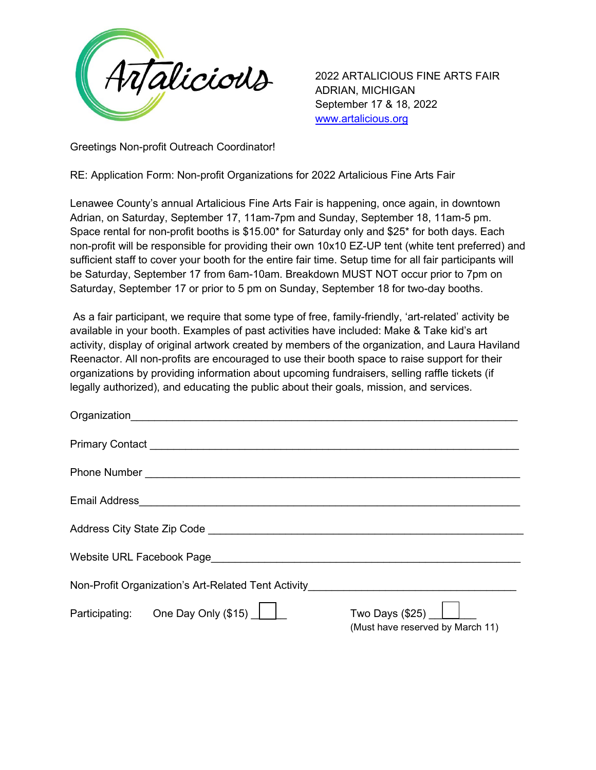

2022 ARTALICIOUS FINE ARTS FAIR ADRIAN, MICHIGAN September 17 & 18, 2022 [www.artalicious.org](http://www.artalicious.org/)

Greetings Non-profit Outreach Coordinator!

RE: Application Form: Non-profit Organizations for 2022 Artalicious Fine Arts Fair

Lenawee County's annual Artalicious Fine Arts Fair is happening, once again, in downtown Adrian, on Saturday, September 17, 11am-7pm and Sunday, September 18, 11am-5 pm. Space rental for non-profit booths is \$15.00\* for Saturday only and \$25\* for both days. Each non-profit will be responsible for providing their own 10x10 EZ-UP tent (white tent preferred) and sufficient staff to cover your booth for the entire fair time. Setup time for all fair participants will be Saturday, September 17 from 6am-10am. Breakdown MUST NOT occur prior to 7pm on Saturday, September 17 or prior to 5 pm on Sunday, September 18 for two-day booths.

As a fair participant, we require that some type of free, family-friendly, 'art-related' activity be available in your booth. Examples of past activities have included: Make & Take kid's art activity, display of original artwork created by members of the organization, and Laura Haviland Reenactor. All non-profits are encouraged to use their booth space to raise support for their organizations by providing information about upcoming fundraisers, selling raffle tickets (if legally authorized), and educating the public about their goals, mission, and services.

| Organization                                                                     |                                                              |
|----------------------------------------------------------------------------------|--------------------------------------------------------------|
|                                                                                  |                                                              |
|                                                                                  |                                                              |
| Email Address    ________________________________                                |                                                              |
|                                                                                  |                                                              |
|                                                                                  |                                                              |
| Non-Profit Organization's Art-Related Tent Activity_____________________________ |                                                              |
| Participating: One Day Only (\$15)                                               | Two Days $(\$25)$ $\Box$<br>(Must have reserved by March 11) |